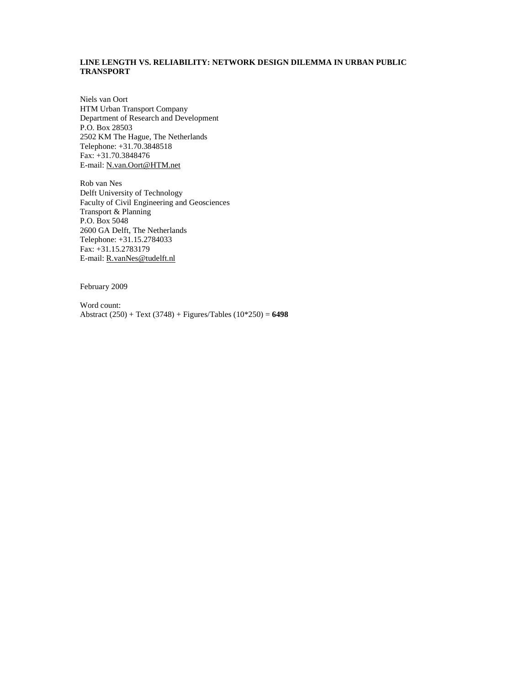# **LINE LENGTH VS. RELIABILITY: NETWORK DESIGN DILEMMA IN URBAN PUBLIC TRANSPORT**

Niels van Oort HTM Urban Transport Company Department of Research and Development P.O. Box 28503 2502 KM The Hague, The Netherlands Telephone: +31.70.3848518 Fax: +31.70.3848476 E-mail: N.van.Oort@HTM.net

Rob van Nes Delft University of Technology Faculty of Civil Engineering and Geosciences Transport & Planning P.O. Box 5048 2600 GA Delft, The Netherlands Telephone: +31.15.2784033 Fax: +31.15.2783179 E-mail: R.vanNes@tudelft.nl

February 2009

Word count: Abstract (250) + Text (3748) + Figures/Tables (10\*250) = **6498**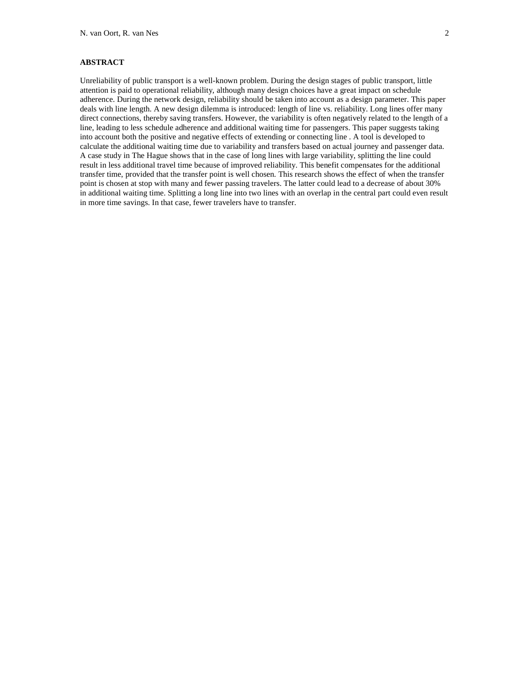# **ABSTRACT**

Unreliability of public transport is a well-known problem. During the design stages of public transport, little attention is paid to operational reliability, although many design choices have a great impact on schedule adherence. During the network design, reliability should be taken into account as a design parameter. This paper deals with line length. A new design dilemma is introduced: length of line vs. reliability. Long lines offer many direct connections, thereby saving transfers. However, the variability is often negatively related to the length of a line, leading to less schedule adherence and additional waiting time for passengers. This paper suggests taking into account both the positive and negative effects of extending or connecting line . A tool is developed to calculate the additional waiting time due to variability and transfers based on actual journey and passenger data. A case study in The Hague shows that in the case of long lines with large variability, splitting the line could result in less additional travel time because of improved reliability. This benefit compensates for the additional transfer time, provided that the transfer point is well chosen. This research shows the effect of when the transfer point is chosen at stop with many and fewer passing travelers. The latter could lead to a decrease of about 30% in additional waiting time. Splitting a long line into two lines with an overlap in the central part could even result in more time savings. In that case, fewer travelers have to transfer.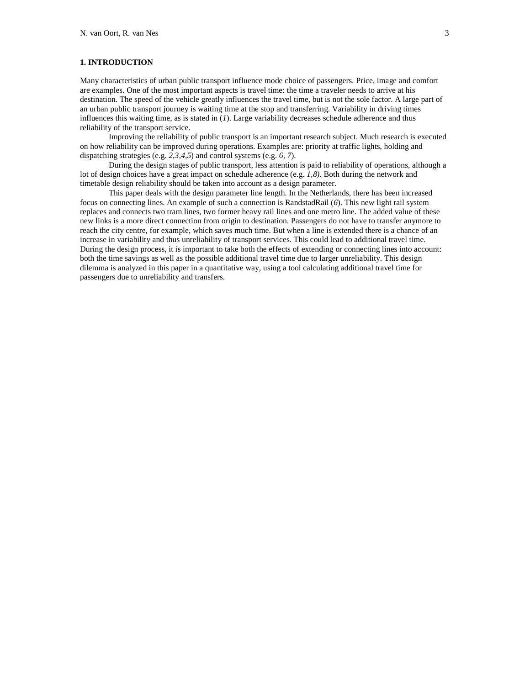## **1. INTRODUCTION**

Many characteristics of urban public transport influence mode choice of passengers. Price, image and comfort are examples. One of the most important aspects is travel time: the time a traveler needs to arrive at his destination. The speed of the vehicle greatly influences the travel time, but is not the sole factor. A large part of an urban public transport journey is waiting time at the stop and transferring. Variability in driving times influences this waiting time, as is stated in (*1*). Large variability decreases schedule adherence and thus reliability of the transport service.

 Improving the reliability of public transport is an important research subject. Much research is executed on how reliability can be improved during operations. Examples are: priority at traffic lights, holding and dispatching strategies (e.g. *2,3,4,5*) and control systems (e.g. *6, 7*).

 During the design stages of public transport, less attention is paid to reliability of operations, although a lot of design choices have a great impact on schedule adherence (e.g. *1,8)*. Both during the network and timetable design reliability should be taken into account as a design parameter.

 This paper deals with the design parameter line length. In the Netherlands, there has been increased focus on connecting lines. An example of such a connection is RandstadRail (*6*). This new light rail system replaces and connects two tram lines, two former heavy rail lines and one metro line. The added value of these new links is a more direct connection from origin to destination. Passengers do not have to transfer anymore to reach the city centre, for example, which saves much time. But when a line is extended there is a chance of an increase in variability and thus unreliability of transport services. This could lead to additional travel time. During the design process, it is important to take both the effects of extending or connecting lines into account: both the time savings as well as the possible additional travel time due to larger unreliability. This design dilemma is analyzed in this paper in a quantitative way, using a tool calculating additional travel time for passengers due to unreliability and transfers.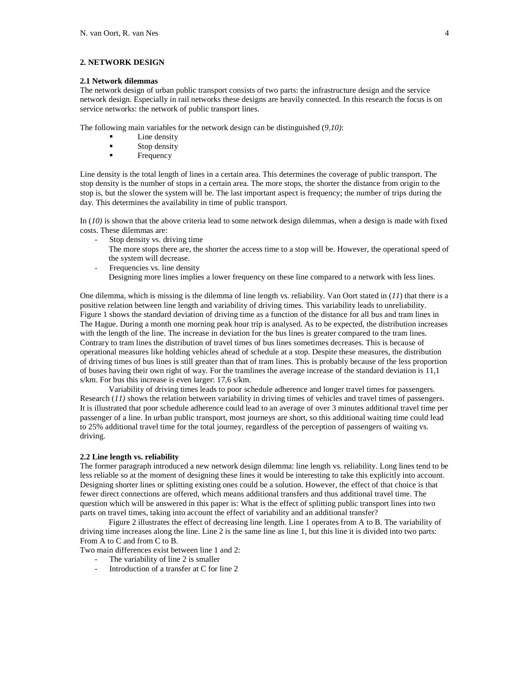## **2. NETWORK DESIGN**

## **2.1 Network dilemmas**

The network design of urban public transport consists of two parts: the infrastructure design and the service network design. Especially in rail networks these designs are heavily connected. In this research the focus is on service networks: the network of public transport lines.

The following main variables for the network design can be distinguished (*9,10)*:

- Line density
- **Stop density**<br>Frequency
- Frequency

Line density is the total length of lines in a certain area. This determines the coverage of public transport. The stop density is the number of stops in a certain area. The more stops, the shorter the distance from origin to the stop is, but the slower the system will be. The last important aspect is frequency; the number of trips during the day. This determines the availability in time of public transport.

In (*10)* is shown that the above criteria lead to some network design dilemmas, when a design is made with fixed costs. These dilemmas are:

- Stop density vs. driving time
	- The more stops there are, the shorter the access time to a stop will be. However, the operational speed of the system will decrease.
- Frequencies vs. line density
- Designing more lines implies a lower frequency on these line compared to a network with less lines.

One dilemma, which is missing is the dilemma of line length vs. reliability. Van Oort stated in (*11*) that there is a positive relation between line length and variability of driving times. This variability leads to unreliability. Figure 1 shows the standard deviation of driving time as a function of the distance for all bus and tram lines in The Hague. During a month one morning peak hour trip is analysed. As to be expected, the distribution increases with the length of the line. The increase in deviation for the bus lines is greater compared to the tram lines. Contrary to tram lines the distribution of travel times of bus lines sometimes decreases. This is because of operational measures like holding vehicles ahead of schedule at a stop. Despite these measures, the distribution of driving times of bus lines is still greater than that of tram lines. This is probably because of the less proportion of buses having their own right of way. For the tramlines the average increase of the standard deviation is 11,1 s/km. For bus this increase is even larger: 17,6 s/km.

 Variability of driving times leads to poor schedule adherence and longer travel times for passengers. Research (*11)* shows the relation between variability in driving times of vehicles and travel times of passengers. It is illustrated that poor schedule adherence could lead to an average of over 3 minutes additional travel time per passenger of a line. In urban public transport, most journeys are short, so this additional waiting time could lead to 25% additional travel time for the total journey, regardless of the perception of passengers of waiting vs. driving.

### **2.2 Line length vs. reliability**

The former paragraph introduced a new network design dilemma: line length vs. reliability. Long lines tend to be less reliable so at the moment of designing these lines it would be interesting to take this explicitly into account. Designing shorter lines or splitting existing ones could be a solution. However, the effect of that choice is that fewer direct connections are offered, which means additional transfers and thus additional travel time. The question which will be answered in this paper is: What is the effect of splitting public transport lines into two parts on travel times, taking into account the effect of variability and an additional transfer?

 Figure 2 illustrates the effect of decreasing line length. Line 1 operates from A to B. The variability of driving time increases along the line. Line 2 is the same line as line 1, but this line it is divided into two parts: From A to C and from C to B.

Two main differences exist between line 1 and 2:

- The variability of line 2 is smaller
- Introduction of a transfer at C for line 2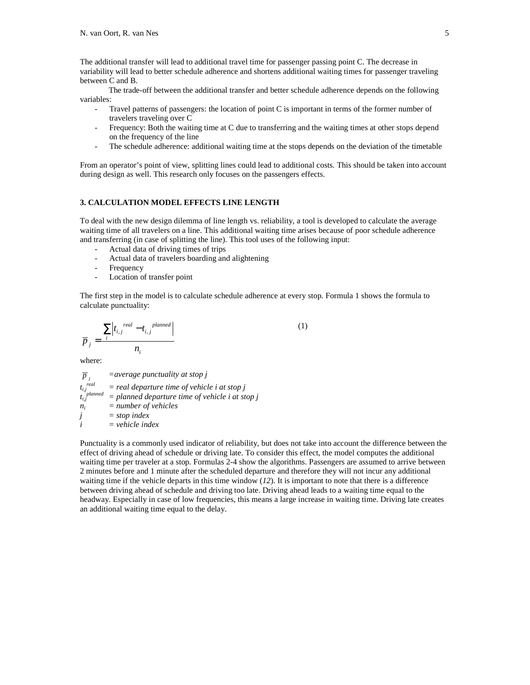The additional transfer will lead to additional travel time for passenger passing point C. The decrease in variability will lead to better schedule adherence and shortens additional waiting times for passenger traveling between C and B.

 The trade-off between the additional transfer and better schedule adherence depends on the following variables:

- Travel patterns of passengers: the location of point C is important in terms of the former number of travelers traveling over C
- Frequency: Both the waiting time at C due to transferring and the waiting times at other stops depend on the frequency of the line
- The schedule adherence: additional waiting time at the stops depends on the deviation of the timetable

From an operator's point of view, splitting lines could lead to additional costs. This should be taken into account during design as well. This research only focuses on the passengers effects.

## **3. CALCULATION MODEL EFFECTS LINE LENGTH**

To deal with the new design dilemma of line length vs. reliability, a tool is developed to calculate the average waiting time of all travelers on a line. This additional waiting time arises because of poor schedule adherence and transferring (in case of splitting the line). This tool uses of the following input:

- Actual data of driving times of trips
- Actual data of travelers boarding and alightening
- **Frequency**
- Location of transfer point

The first step in the model is to calculate schedule adherence at every stop. Formula 1 shows the formula to calculate punctuality:

$$
\overline{p}_j = \frac{\sum_{i} \left| t_{i,j}^{real} - t_{i,j}^{planned} \right|}{n_i} \tag{1}
$$

where:

 $\overline{p}_j$ <br>*real p =average punctuality at stop j ti,j real = real departure time of vehicle i at stop j ti,j planned = planned departure time of vehicle i at stop j ni = number of vehicles j = stop index i = vehicle index* 

Punctuality is a commonly used indicator of reliability, but does not take into account the difference between the effect of driving ahead of schedule or driving late. To consider this effect, the model computes the additional waiting time per traveler at a stop. Formulas 2-4 show the algorithms. Passengers are assumed to arrive between 2 minutes before and 1 minute after the scheduled departure and therefore they will not incur any additional waiting time if the vehicle departs in this time window  $(12)$ . It is important to note that there is a difference between driving ahead of schedule and driving too late. Driving ahead leads to a waiting time equal to the headway. Especially in case of low frequencies, this means a large increase in waiting time. Driving late creates an additional waiting time equal to the delay.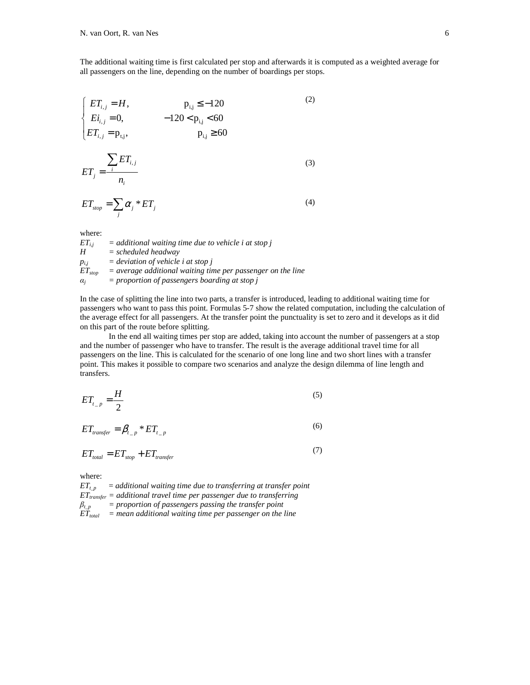The additional waiting time is first calculated per stop and afterwards it is computed as a weighted average for all passengers on the line, depending on the number of boardings per stops.

$$
\begin{cases}\nET_{i,j} = H, & p_{i,j} \le -120 \\
E_{i,j} = 0, & -120 < p_{i,j} < 60 \\
ET_{i,j} = p_{i,j}, & p_{i,j} \ge 60\n\end{cases} \tag{2}
$$
\n
$$
\sum ET_{i,j} \tag{3}
$$

$$
ET_j = \frac{1}{n_i} \tag{3}
$$

$$
ET_{stop} = \sum_{j} \alpha_{j} * ET_{j} \tag{4}
$$

where:

| $ET_{ii}$   | $=$ additional waiting time due to vehicle i at stop i        |
|-------------|---------------------------------------------------------------|
| H           | $=$ scheduled headway                                         |
| $p_{i,i}$   | $=$ deviation of vehicle i at stop i                          |
| $ET_{stop}$ | $=$ average additional waiting time per passenger on the line |
| $\alpha_i$  | $=$ proportion of passengers boarding at stop $\overline{p}$  |

In the case of splitting the line into two parts, a transfer is introduced, leading to additional waiting time for passengers who want to pass this point. Formulas 5-7 show the related computation, including the calculation of the average effect for all passengers. At the transfer point the punctuality is set to zero and it develops as it did on this part of the route before splitting.

 In the end all waiting times per stop are added, taking into account the number of passengers at a stop and the number of passenger who have to transfer. The result is the average additional travel time for all passengers on the line. This is calculated for the scenario of one long line and two short lines with a transfer point. This makes it possible to compare two scenarios and analyze the design dilemma of line length and transfers.

$$
ET_{t_{-p}} = \frac{H}{2}
$$
 (5)

$$
ET_{\text{transfer}} = \beta_{t_{-p}} * ET_{t_{-p}}
$$
\n<sup>(6)</sup>

$$
ET_{total} = ET_{stop} + ET_{transfer} \tag{7}
$$

where:

 $ET_{t,p}$  = *additional waiting time due to transferring at transfer point ETtransfer = additional travel time per passenger due to transferring*   $\beta_{t_p}$  = proportion of passengers passing the transfer point *ETtotal = mean additional waiting time per passenger on the line*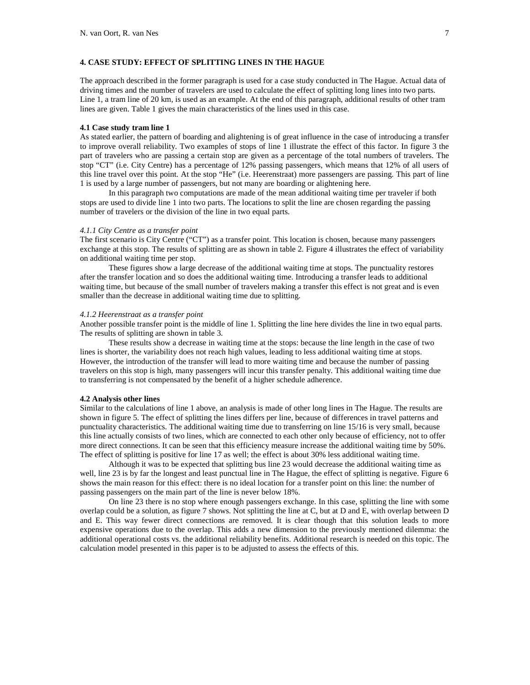## **4. CASE STUDY: EFFECT OF SPLITTING LINES IN THE HAGUE**

The approach described in the former paragraph is used for a case study conducted in The Hague. Actual data of driving times and the number of travelers are used to calculate the effect of splitting long lines into two parts. Line 1, a tram line of 20 km, is used as an example. At the end of this paragraph, additional results of other tram lines are given. Table 1 gives the main characteristics of the lines used in this case.

#### **4.1 Case study tram line 1**

As stated earlier, the pattern of boarding and alightening is of great influence in the case of introducing a transfer to improve overall reliability. Two examples of stops of line 1 illustrate the effect of this factor. In figure 3 the part of travelers who are passing a certain stop are given as a percentage of the total numbers of travelers. The stop "CT" (i.e. City Centre) has a percentage of 12% passing passengers, which means that 12% of all users of this line travel over this point. At the stop "He" (i.e. Heerenstraat) more passengers are passing. This part of line 1 is used by a large number of passengers, but not many are boarding or alightening here.

 In this paragraph two computations are made of the mean additional waiting time per traveler if both stops are used to divide line 1 into two parts. The locations to split the line are chosen regarding the passing number of travelers or the division of the line in two equal parts.

#### *4.1.1 City Centre as a transfer point*

The first scenario is City Centre ("CT") as a transfer point. This location is chosen, because many passengers exchange at this stop. The results of splitting are as shown in table 2. Figure 4 illustrates the effect of variability on additional waiting time per stop.

 These figures show a large decrease of the additional waiting time at stops. The punctuality restores after the transfer location and so does the additional waiting time. Introducing a transfer leads to additional waiting time, but because of the small number of travelers making a transfer this effect is not great and is even smaller than the decrease in additional waiting time due to splitting.

## *4.1.2 Heerenstraat as a transfer point*

Another possible transfer point is the middle of line 1. Splitting the line here divides the line in two equal parts. The results of splitting are shown in table 3.

 These results show a decrease in waiting time at the stops: because the line length in the case of two lines is shorter, the variability does not reach high values, leading to less additional waiting time at stops. However, the introduction of the transfer will lead to more waiting time and because the number of passing travelers on this stop is high, many passengers will incur this transfer penalty. This additional waiting time due to transferring is not compensated by the benefit of a higher schedule adherence.

### **4.2 Analysis other lines**

Similar to the calculations of line 1 above, an analysis is made of other long lines in The Hague. The results are shown in figure 5. The effect of splitting the lines differs per line, because of differences in travel patterns and punctuality characteristics. The additional waiting time due to transferring on line 15/16 is very small, because this line actually consists of two lines, which are connected to each other only because of efficiency, not to offer more direct connections. It can be seen that this efficiency measure increase the additional waiting time by 50%. The effect of splitting is positive for line 17 as well; the effect is about 30% less additional waiting time.

 Although it was to be expected that splitting bus line 23 would decrease the additional waiting time as well, line 23 is by far the longest and least punctual line in The Hague, the effect of splitting is negative. Figure 6 shows the main reason for this effect: there is no ideal location for a transfer point on this line: the number of passing passengers on the main part of the line is never below 18%.

 On line 23 there is no stop where enough passengers exchange. In this case, splitting the line with some overlap could be a solution, as figure 7 shows. Not splitting the line at C, but at D and E, with overlap between D and E. This way fewer direct connections are removed. It is clear though that this solution leads to more expensive operations due to the overlap. This adds a new dimension to the previously mentioned dilemma: the additional operational costs vs. the additional reliability benefits. Additional research is needed on this topic. The calculation model presented in this paper is to be adjusted to assess the effects of this.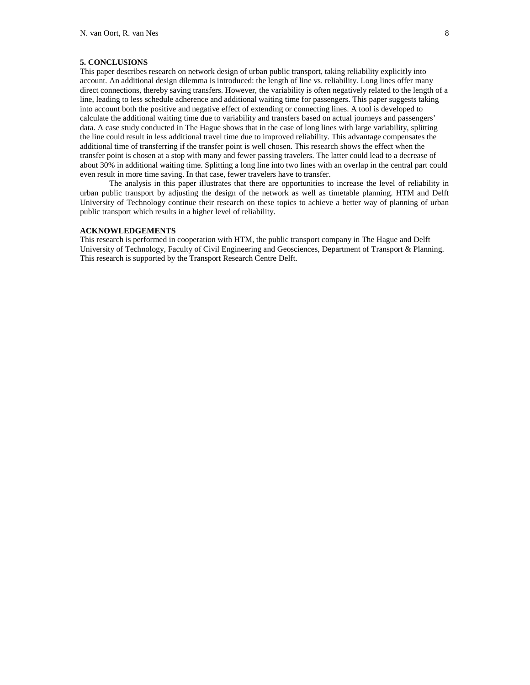# **5. CONCLUSIONS**

This paper describes research on network design of urban public transport, taking reliability explicitly into account. An additional design dilemma is introduced: the length of line vs. reliability. Long lines offer many direct connections, thereby saving transfers. However, the variability is often negatively related to the length of a line, leading to less schedule adherence and additional waiting time for passengers. This paper suggests taking into account both the positive and negative effect of extending or connecting lines. A tool is developed to calculate the additional waiting time due to variability and transfers based on actual journeys and passengers' data. A case study conducted in The Hague shows that in the case of long lines with large variability, splitting the line could result in less additional travel time due to improved reliability. This advantage compensates the additional time of transferring if the transfer point is well chosen. This research shows the effect when the transfer point is chosen at a stop with many and fewer passing travelers. The latter could lead to a decrease of about 30% in additional waiting time. Splitting a long line into two lines with an overlap in the central part could even result in more time saving. In that case, fewer travelers have to transfer.

The analysis in this paper illustrates that there are opportunities to increase the level of reliability in urban public transport by adjusting the design of the network as well as timetable planning. HTM and Delft University of Technology continue their research on these topics to achieve a better way of planning of urban public transport which results in a higher level of reliability.

## **ACKNOWLEDGEMENTS**

This research is performed in cooperation with HTM, the public transport company in The Hague and Delft University of Technology, Faculty of Civil Engineering and Geosciences, Department of Transport & Planning. This research is supported by the Transport Research Centre Delft.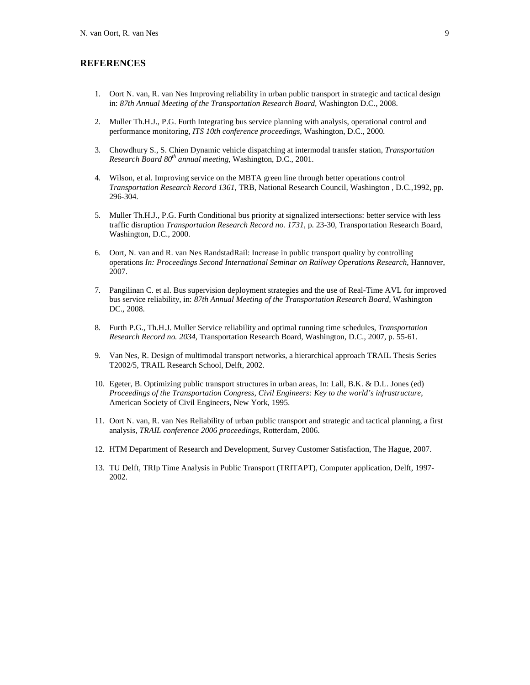# **REFERENCES**

- 1. Oort N. van, R. van Nes Improving reliability in urban public transport in strategic and tactical design in: *87th Annual Meeting of the Transportation Research Board,* Washington D.C., 2008.
- 2. Muller Th.H.J., P.G. Furth Integrating bus service planning with analysis, operational control and performance monitoring, *ITS 10th conference proceedings*, Washington, D.C., 2000.
- 3. Chowdhury S., S. Chien Dynamic vehicle dispatching at intermodal transfer station, *Transportation Research Board 80th annual meeting*, Washington, D.C., 2001.
- 4. Wilson, et al. Improving service on the MBTA green line through better operations control *Transportation Research Record 1361*, TRB, National Research Council, Washington , D.C.,1992, pp. 296-304.
- 5. Muller Th.H.J., P.G. Furth Conditional bus priority at signalized intersections: better service with less traffic disruption *Transportation Research Record no. 1731*, p. 23-30, Transportation Research Board, Washington, D.C., 2000.
- 6. Oort, N. van and R. van Nes RandstadRail: Increase in public transport quality by controlling operations *In: Proceedings Second International Seminar on Railway Operations Research*, Hannover, 2007.
- 7. Pangilinan C. et al. Bus supervision deployment strategies and the use of Real-Time AVL for improved bus service reliability, in: *87th Annual Meeting of the Transportation Research Board,* Washington DC., 2008.
- 8. Furth P.G., Th.H.J. Muller Service reliability and optimal running time schedules, *Transportation Research Record no. 2034*, Transportation Research Board, Washington, D.C., 2007, p. 55-61.
- 9. Van Nes, R. Design of multimodal transport networks, a hierarchical approach TRAIL Thesis Series T2002/5, TRAIL Research School, Delft, 2002.
- 10. Egeter, B. Optimizing public transport structures in urban areas, In: Lall, B.K. & D.L. Jones (ed) *Proceedings of the Transportation Congress, Civil Engineers: Key to the world's infrastructure*, American Society of Civil Engineers, New York, 1995.
- 11. Oort N. van, R. van Nes Reliability of urban public transport and strategic and tactical planning, a first analysis, *TRAIL conference 2006 proceedings*, Rotterdam, 2006.
- 12. HTM Department of Research and Development, Survey Customer Satisfaction, The Hague, 2007.
- 13. TU Delft, TRIp Time Analysis in Public Transport (TRITAPT), Computer application, Delft, 1997- 2002.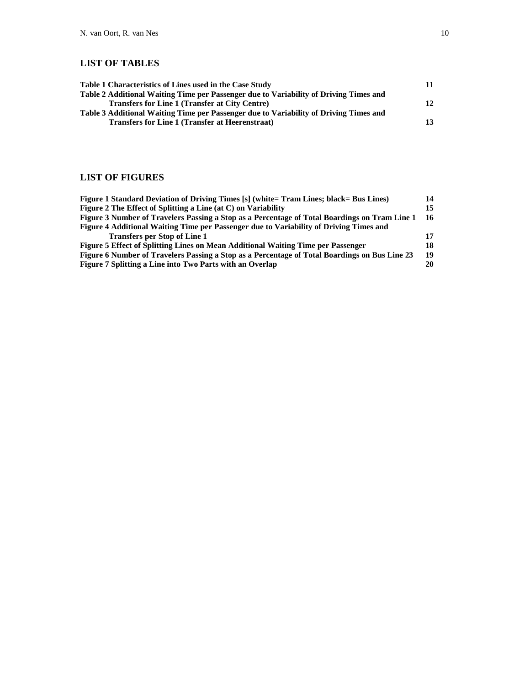# **LIST OF TABLES**

| Table 1 Characteristics of Lines used in the Case Study                               | 11 |
|---------------------------------------------------------------------------------------|----|
| Table 2 Additional Waiting Time per Passenger due to Variability of Driving Times and |    |
| <b>Transfers for Line 1 (Transfer at City Centre)</b>                                 | 12 |
| Table 3 Additional Waiting Time per Passenger due to Variability of Driving Times and |    |
| <b>Transfers for Line 1 (Transfer at Heerenstraat)</b>                                | 13 |

# **LIST OF FIGURES**

| Figure 1 Standard Deviation of Driving Times [s] (white= Tram Lines; black= Bus Lines)        | 14 |
|-----------------------------------------------------------------------------------------------|----|
| Figure 2 The Effect of Splitting a Line (at C) on Variability                                 | 15 |
| Figure 3 Number of Travelers Passing a Stop as a Percentage of Total Boardings on Tram Line 1 | 16 |
| Figure 4 Additional Waiting Time per Passenger due to Variability of Driving Times and        |    |
| <b>Transfers per Stop of Line 1</b>                                                           | 17 |
| Figure 5 Effect of Splitting Lines on Mean Additional Waiting Time per Passenger              | 18 |
| Figure 6 Number of Travelers Passing a Stop as a Percentage of Total Boardings on Bus Line 23 | 19 |
| Figure 7 Splitting a Line into Two Parts with an Overlap                                      | 20 |
|                                                                                               |    |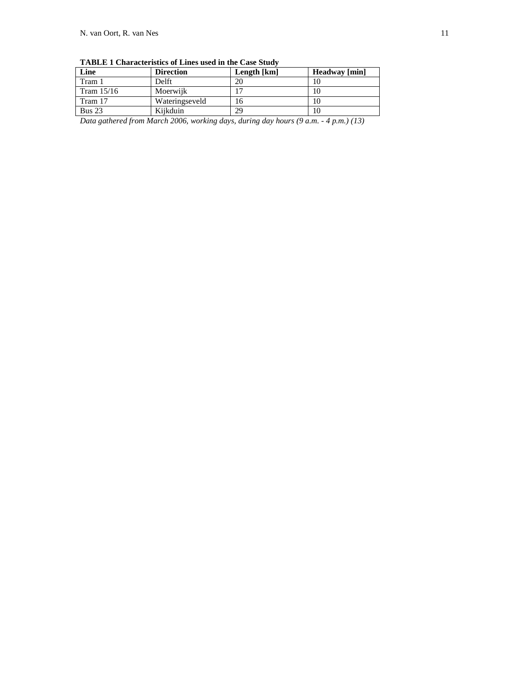| Trible I characteristics of lines asea in the case state |                  |             |               |  |
|----------------------------------------------------------|------------------|-------------|---------------|--|
| Line                                                     | <b>Direction</b> | Length [km] | Headway [min] |  |
| Tram 1                                                   | Delft            | 20          |               |  |
| Tram $15/16$                                             | Moerwijk         |             | 10            |  |
| Tram 17                                                  | Wateringseveld   | 16          | 10            |  |
| Bus $23$                                                 | Kiikduin         | 29          | 10            |  |

**TABLE 1 Characteristics of Lines used in the Case Study** 

*Data gathered from March 2006, working days, during day hours (9 a.m. - 4 p.m.) (13)*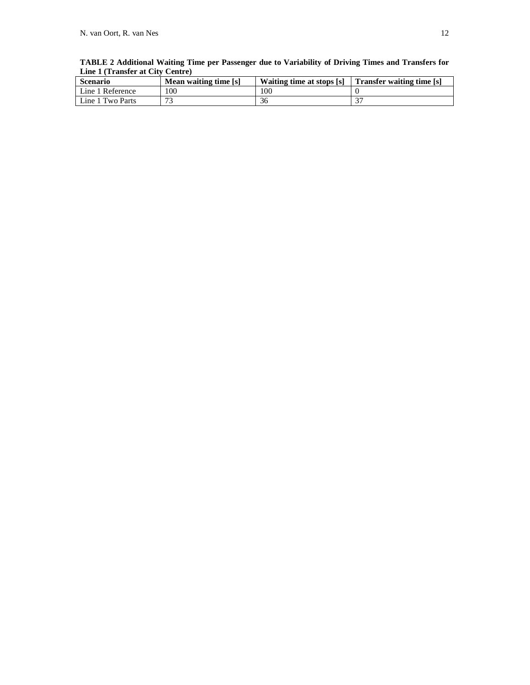| Scenario         | Mean waiting time [s] |     | Waiting time at stops [s]   Transfer waiting time [s] |
|------------------|-----------------------|-----|-------------------------------------------------------|
| Line 1 Reference | 100                   | 100 |                                                       |
| Line 1 Two Parts | 70                    | 36  | ∩−                                                    |

**TABLE 2 Additional Waiting Time per Passenger due to Variability of Driving Times and Transfers for Line 1 (Transfer at City Centre)**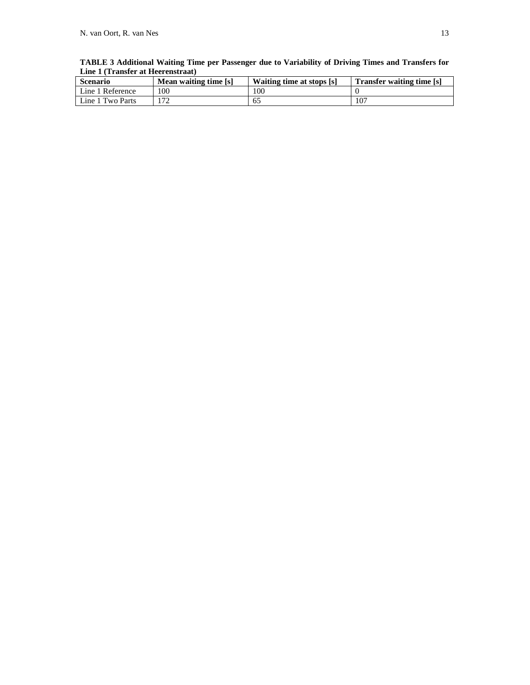| <b>Scenario</b>  | Mean waiting time [s] | Waiting time at stops [s] | <b>Transfer waiting time [s]</b> |
|------------------|-----------------------|---------------------------|----------------------------------|
| Line 1 Reference | 100                   | <b>OC</b>                 |                                  |
| Line 1 Two Parts |                       |                           | 107                              |

**TABLE 3 Additional Waiting Time per Passenger due to Variability of Driving Times and Transfers for Line 1 (Transfer at Heerenstraat)**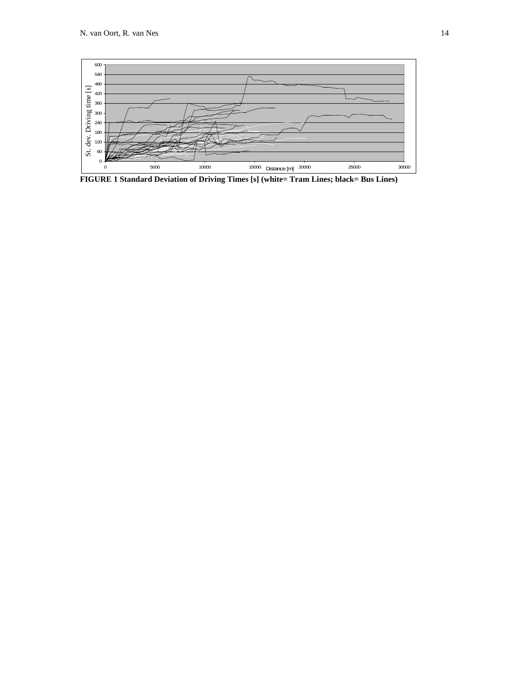

**FIGURE 1 Standard Deviation of Driving Times [s] (white= Tram Lines; black= Bus Lines)**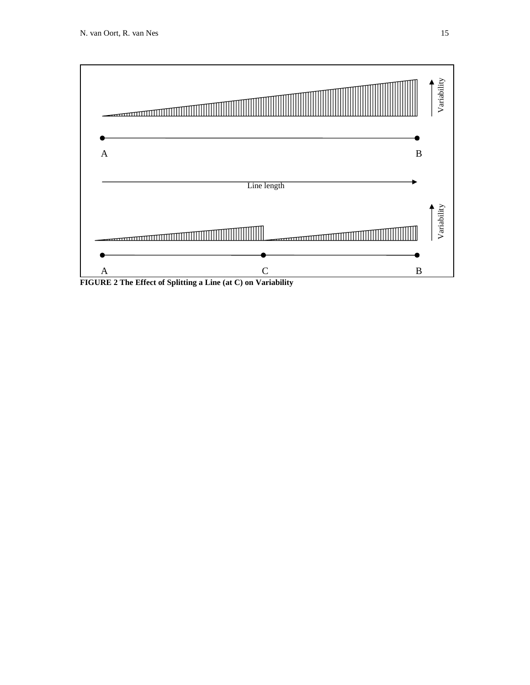

**FIGURE 2 The Effect of Splitting a Line (at C) on Variability**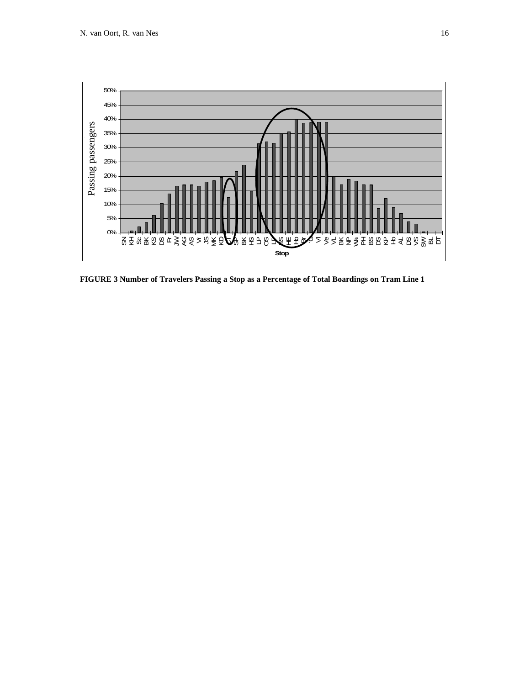

**FIGURE 3 Number of Travelers Passing a Stop as a Percentage of Total Boardings on Tram Line 1**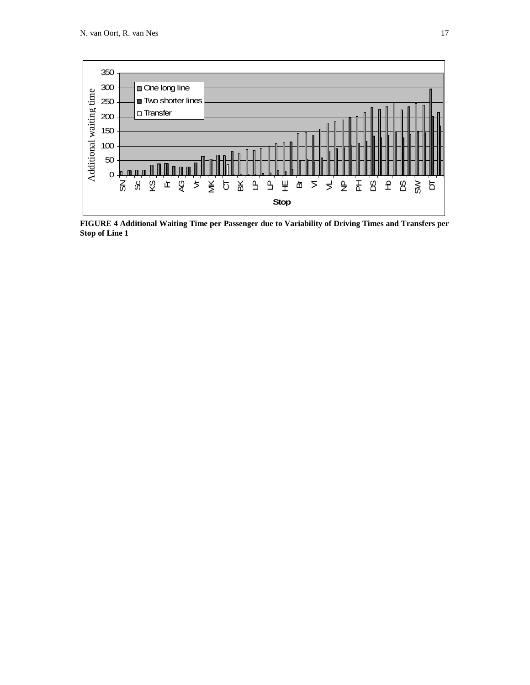

**FIGURE 4 Additional Waiting Time per Passenger due to Variability of Driving Times and Transfers per**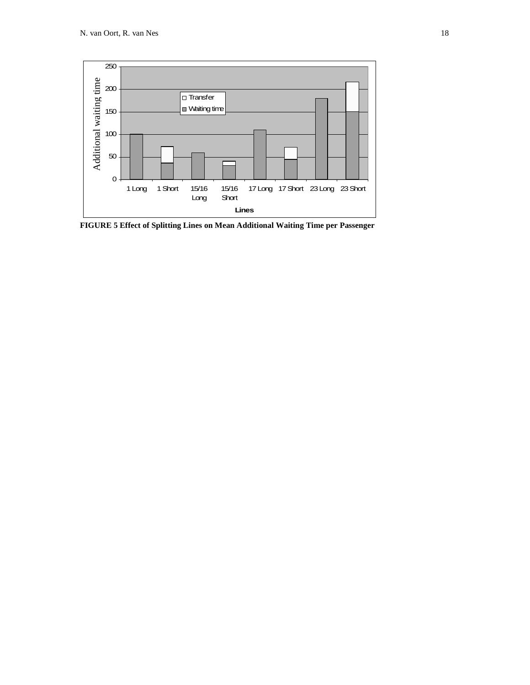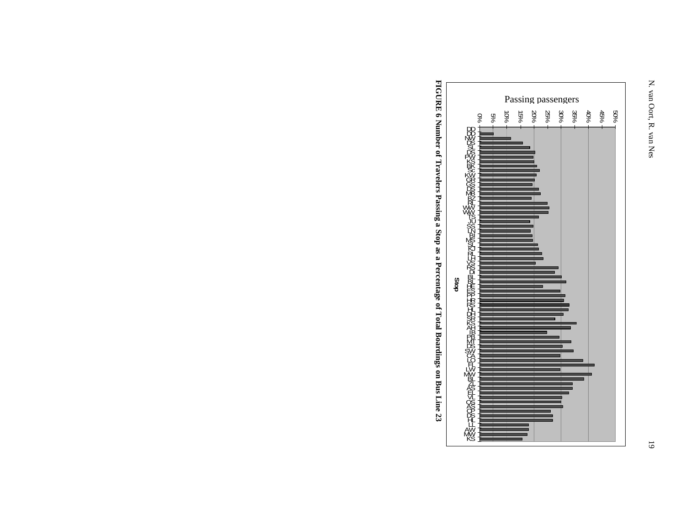

**FIGURE 6 Number of Travelers Passing a Stop as a Percentage of Total Boardings on Bus Line 23**